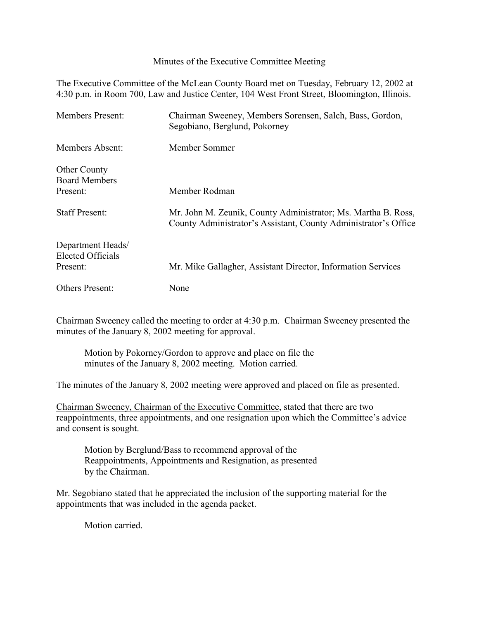Minutes of the Executive Committee Meeting

The Executive Committee of the McLean County Board met on Tuesday, February 12, 2002 at 4:30 p.m. in Room 700, Law and Justice Center, 104 West Front Street, Bloomington, Illinois.

| <b>Members Present:</b>                                   | Chairman Sweeney, Members Sorensen, Salch, Bass, Gordon,<br>Segobiano, Berglund, Pokorney                                        |
|-----------------------------------------------------------|----------------------------------------------------------------------------------------------------------------------------------|
| Members Absent:                                           | Member Sommer                                                                                                                    |
| <b>Other County</b><br><b>Board Members</b><br>Present:   | Member Rodman                                                                                                                    |
| <b>Staff Present:</b>                                     | Mr. John M. Zeunik, County Administrator; Ms. Martha B. Ross,<br>County Administrator's Assistant, County Administrator's Office |
| Department Heads/<br><b>Elected Officials</b><br>Present: | Mr. Mike Gallagher, Assistant Director, Information Services                                                                     |
| <b>Others Present:</b>                                    | None                                                                                                                             |

Chairman Sweeney called the meeting to order at 4:30 p.m. Chairman Sweeney presented the minutes of the January 8, 2002 meeting for approval.

Motion by Pokorney/Gordon to approve and place on file the minutes of the January 8, 2002 meeting. Motion carried.

The minutes of the January 8, 2002 meeting were approved and placed on file as presented.

Chairman Sweeney, Chairman of the Executive Committee, stated that there are two reappointments, three appointments, and one resignation upon which the Committee's advice and consent is sought.

Motion by Berglund/Bass to recommend approval of the Reappointments, Appointments and Resignation, as presented by the Chairman.

Mr. Segobiano stated that he appreciated the inclusion of the supporting material for the appointments that was included in the agenda packet.

Motion carried.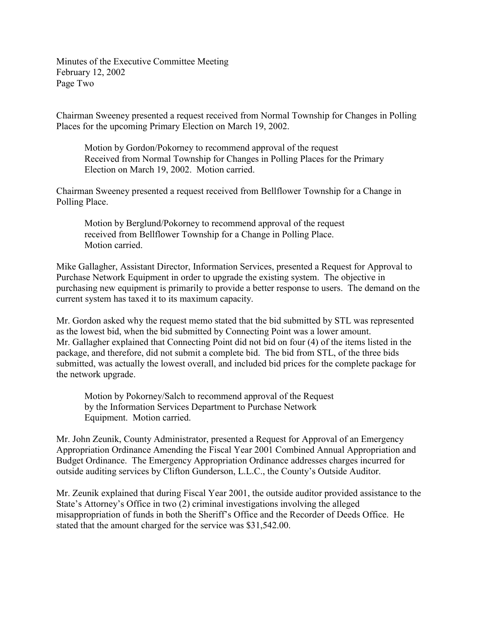Minutes of the Executive Committee Meeting February 12, 2002 Page Two

Chairman Sweeney presented a request received from Normal Township for Changes in Polling Places for the upcoming Primary Election on March 19, 2002.

Motion by Gordon/Pokorney to recommend approval of the request Received from Normal Township for Changes in Polling Places for the Primary Election on March 19, 2002. Motion carried.

Chairman Sweeney presented a request received from Bellflower Township for a Change in Polling Place.

Motion by Berglund/Pokorney to recommend approval of the request received from Bellflower Township for a Change in Polling Place. Motion carried.

Mike Gallagher, Assistant Director, Information Services, presented a Request for Approval to Purchase Network Equipment in order to upgrade the existing system. The objective in purchasing new equipment is primarily to provide a better response to users. The demand on the current system has taxed it to its maximum capacity.

Mr. Gordon asked why the request memo stated that the bid submitted by STL was represented as the lowest bid, when the bid submitted by Connecting Point was a lower amount. Mr. Gallagher explained that Connecting Point did not bid on four (4) of the items listed in the package, and therefore, did not submit a complete bid. The bid from STL, of the three bids submitted, was actually the lowest overall, and included bid prices for the complete package for the network upgrade.

Motion by Pokorney/Salch to recommend approval of the Request by the Information Services Department to Purchase Network Equipment. Motion carried.

Mr. John Zeunik, County Administrator, presented a Request for Approval of an Emergency Appropriation Ordinance Amending the Fiscal Year 2001 Combined Annual Appropriation and Budget Ordinance. The Emergency Appropriation Ordinance addresses charges incurred for outside auditing services by Clifton Gunderson, L.L.C., the County's Outside Auditor.

Mr. Zeunik explained that during Fiscal Year 2001, the outside auditor provided assistance to the State's Attorney's Office in two (2) criminal investigations involving the alleged misappropriation of funds in both the Sheriff's Office and the Recorder of Deeds Office. He stated that the amount charged for the service was \$31,542.00.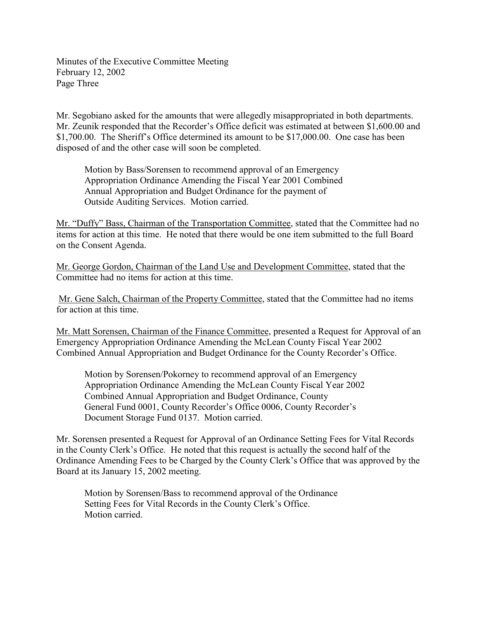Minutes of the Executive Committee Meeting February 12, 2002 Page Three

Mr. Segobiano asked for the amounts that were allegedly misappropriated in both departments. Mr. Zeunik responded that the Recorder's Office deficit was estimated at between \$1,600.00 and \$1,700.00. The Sheriff's Office determined its amount to be \$17,000.00. One case has been disposed of and the other case will soon be completed.

Motion by Bass/Sorensen to recommend approval of an Emergency Appropriation Ordinance Amending the Fiscal Year 2001 Combined Annual Appropriation and Budget Ordinance for the payment of Outside Auditing Services. Motion carried.

Mr. "Duffy" Bass, Chairman of the Transportation Committee, stated that the Committee had no items for action at this time. He noted that there would be one item submitted to the full Board on the Consent Agenda.

Mr. George Gordon, Chairman of the Land Use and Development Committee, stated that the Committee had no items for action at this time.

 Mr. Gene Salch, Chairman of the Property Committee, stated that the Committee had no items for action at this time.

Mr. Matt Sorensen, Chairman of the Finance Committee, presented a Request for Approval of an Emergency Appropriation Ordinance Amending the McLean County Fiscal Year 2002 Combined Annual Appropriation and Budget Ordinance for the County Recorder's Office.

Motion by Sorensen/Pokorney to recommend approval of an Emergency Appropriation Ordinance Amending the McLean County Fiscal Year 2002 Combined Annual Appropriation and Budget Ordinance, County General Fund 0001, County Recorder's Office 0006, County Recorder's Document Storage Fund 0137. Motion carried.

Mr. Sorensen presented a Request for Approval of an Ordinance Setting Fees for Vital Records in the County Clerk's Office. He noted that this request is actually the second half of the Ordinance Amending Fees to be Charged by the County Clerk's Office that was approved by the Board at its January 15, 2002 meeting.

Motion by Sorensen/Bass to recommend approval of the Ordinance Setting Fees for Vital Records in the County Clerk's Office. Motion carried.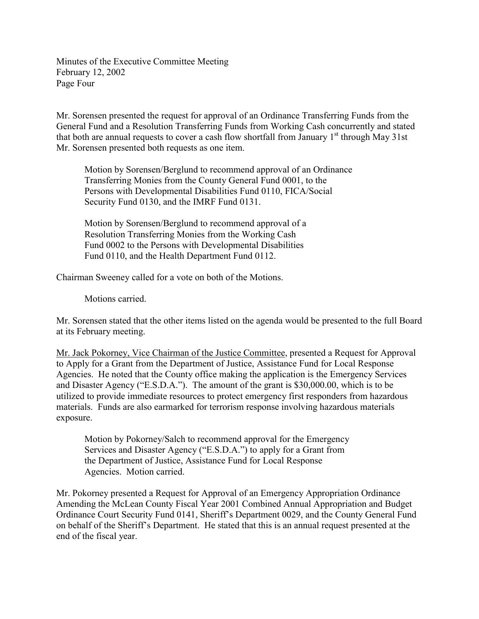Minutes of the Executive Committee Meeting February 12, 2002 Page Four

Mr. Sorensen presented the request for approval of an Ordinance Transferring Funds from the General Fund and a Resolution Transferring Funds from Working Cash concurrently and stated that both are annual requests to cover a cash flow shortfall from January  $1<sup>st</sup>$  through May 31st Mr. Sorensen presented both requests as one item.

Motion by Sorensen/Berglund to recommend approval of an Ordinance Transferring Monies from the County General Fund 0001, to the Persons with Developmental Disabilities Fund 0110, FICA/Social Security Fund 0130, and the IMRF Fund 0131.

Motion by Sorensen/Berglund to recommend approval of a Resolution Transferring Monies from the Working Cash Fund 0002 to the Persons with Developmental Disabilities Fund 0110, and the Health Department Fund 0112.

Chairman Sweeney called for a vote on both of the Motions.

Motions carried.

Mr. Sorensen stated that the other items listed on the agenda would be presented to the full Board at its February meeting.

Mr. Jack Pokorney, Vice Chairman of the Justice Committee, presented a Request for Approval to Apply for a Grant from the Department of Justice, Assistance Fund for Local Response Agencies. He noted that the County office making the application is the Emergency Services and Disaster Agency ("E.S.D.A."). The amount of the grant is \$30,000.00, which is to be utilized to provide immediate resources to protect emergency first responders from hazardous materials. Funds are also earmarked for terrorism response involving hazardous materials exposure.

Motion by Pokorney/Salch to recommend approval for the Emergency Services and Disaster Agency ("E.S.D.A.") to apply for a Grant from the Department of Justice, Assistance Fund for Local Response Agencies. Motion carried.

Mr. Pokorney presented a Request for Approval of an Emergency Appropriation Ordinance Amending the McLean County Fiscal Year 2001 Combined Annual Appropriation and Budget Ordinance Court Security Fund 0141, Sheriff's Department 0029, and the County General Fund on behalf of the Sheriff's Department. He stated that this is an annual request presented at the end of the fiscal year.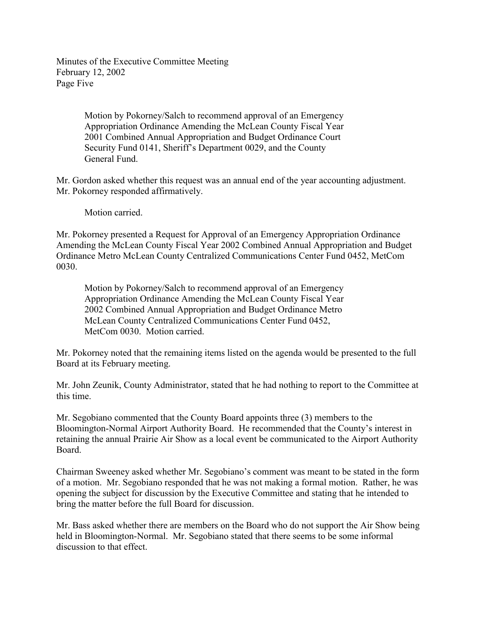Minutes of the Executive Committee Meeting February 12, 2002 Page Five

> Motion by Pokorney/Salch to recommend approval of an Emergency Appropriation Ordinance Amending the McLean County Fiscal Year 2001 Combined Annual Appropriation and Budget Ordinance Court Security Fund 0141, Sheriff's Department 0029, and the County General Fund.

Mr. Gordon asked whether this request was an annual end of the year accounting adjustment. Mr. Pokorney responded affirmatively.

Motion carried.

Mr. Pokorney presented a Request for Approval of an Emergency Appropriation Ordinance Amending the McLean County Fiscal Year 2002 Combined Annual Appropriation and Budget Ordinance Metro McLean County Centralized Communications Center Fund 0452, MetCom 0030.

Motion by Pokorney/Salch to recommend approval of an Emergency Appropriation Ordinance Amending the McLean County Fiscal Year 2002 Combined Annual Appropriation and Budget Ordinance Metro McLean County Centralized Communications Center Fund 0452, MetCom 0030. Motion carried.

Mr. Pokorney noted that the remaining items listed on the agenda would be presented to the full Board at its February meeting.

Mr. John Zeunik, County Administrator, stated that he had nothing to report to the Committee at this time.

Mr. Segobiano commented that the County Board appoints three (3) members to the Bloomington-Normal Airport Authority Board. He recommended that the County's interest in retaining the annual Prairie Air Show as a local event be communicated to the Airport Authority Board.

Chairman Sweeney asked whether Mr. Segobiano's comment was meant to be stated in the form of a motion. Mr. Segobiano responded that he was not making a formal motion. Rather, he was opening the subject for discussion by the Executive Committee and stating that he intended to bring the matter before the full Board for discussion.

Mr. Bass asked whether there are members on the Board who do not support the Air Show being held in Bloomington-Normal. Mr. Segobiano stated that there seems to be some informal discussion to that effect.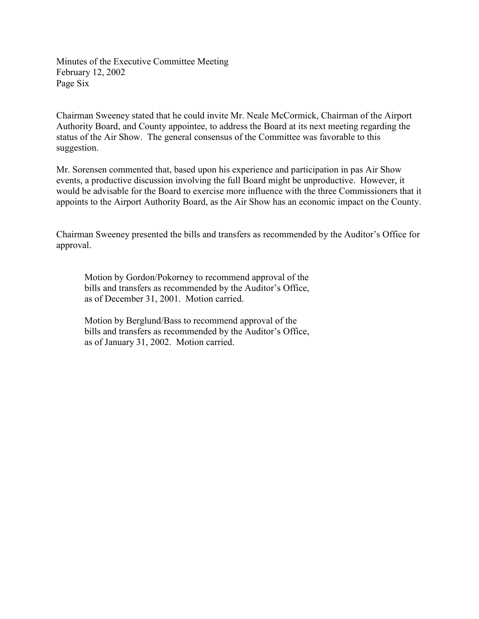Minutes of the Executive Committee Meeting February 12, 2002 Page Six

Chairman Sweeney stated that he could invite Mr. Neale McCormick, Chairman of the Airport Authority Board, and County appointee, to address the Board at its next meeting regarding the status of the Air Show. The general consensus of the Committee was favorable to this suggestion.

Mr. Sorensen commented that, based upon his experience and participation in pas Air Show events, a productive discussion involving the full Board might be unproductive. However, it would be advisable for the Board to exercise more influence with the three Commissioners that it appoints to the Airport Authority Board, as the Air Show has an economic impact on the County.

Chairman Sweeney presented the bills and transfers as recommended by the Auditor's Office for approval.

Motion by Gordon/Pokorney to recommend approval of the bills and transfers as recommended by the Auditor's Office, as of December 31, 2001. Motion carried.

Motion by Berglund/Bass to recommend approval of the bills and transfers as recommended by the Auditor's Office, as of January 31, 2002. Motion carried.